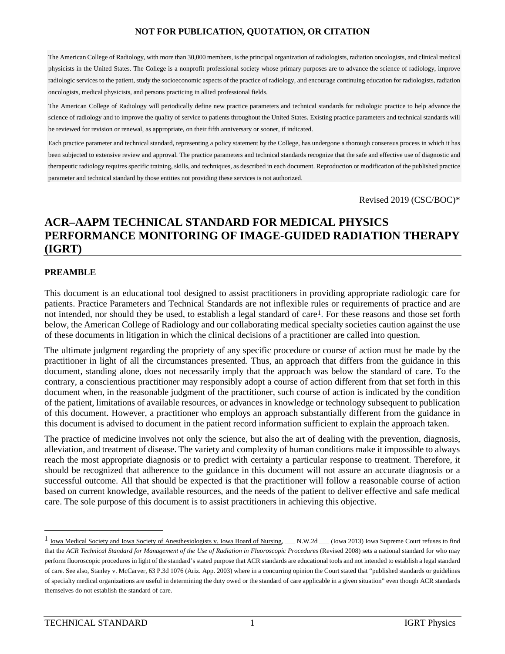The American College of Radiology, with more than 30,000 members, is the principal organization of radiologists, radiation oncologists, and clinical medical physicists in the United States. The College is a nonprofit professional society whose primary purposes are to advance the science of radiology, improve radiologic services to the patient, study the socioeconomic aspects of the practice of radiology, and encourage continuing education for radiologists, radiation oncologists, medical physicists, and persons practicing in allied professional fields.

The American College of Radiology will periodically define new practice parameters and technical standards for radiologic practice to help advance the science of radiology and to improve the quality of service to patients throughout the United States. Existing practice parameters and technical standards will be reviewed for revision or renewal, as appropriate, on their fifth anniversary or sooner, if indicated.

Each practice parameter and technical standard, representing a policy statement by the College, has undergone a thorough consensus process in which it has been subjected to extensive review and approval. The practice parameters and technical standards recognize that the safe and effective use of diagnostic and therapeutic radiology requires specific training, skills, and techniques, as described in each document. Reproduction or modification of the published practice parameter and technical standard by those entities not providing these services is not authorized.

Revised 2019 (CSC/BOC)\*

# **ACR–AAPM TECHNICAL STANDARD FOR MEDICAL PHYSICS PERFORMANCE MONITORING OF IMAGE-GUIDED RADIATION THERAPY (IGRT)**

# **PREAMBLE**

This document is an educational tool designed to assist practitioners in providing appropriate radiologic care for patients. Practice Parameters and Technical Standards are not inflexible rules or requirements of practice and are not intended, nor should they be used, to establish a legal standard of care<sup>[1](#page-0-0)</sup>. For these reasons and those set forth below, the American College of Radiology and our collaborating medical specialty societies caution against the use of these documents in litigation in which the clinical decisions of a practitioner are called into question.

The ultimate judgment regarding the propriety of any specific procedure or course of action must be made by the practitioner in light of all the circumstances presented. Thus, an approach that differs from the guidance in this document, standing alone, does not necessarily imply that the approach was below the standard of care. To the contrary, a conscientious practitioner may responsibly adopt a course of action different from that set forth in this document when, in the reasonable judgment of the practitioner, such course of action is indicated by the condition of the patient, limitations of available resources, or advances in knowledge or technology subsequent to publication of this document. However, a practitioner who employs an approach substantially different from the guidance in this document is advised to document in the patient record information sufficient to explain the approach taken.

The practice of medicine involves not only the science, but also the art of dealing with the prevention, diagnosis, alleviation, and treatment of disease. The variety and complexity of human conditions make it impossible to always reach the most appropriate diagnosis or to predict with certainty a particular response to treatment. Therefore, it should be recognized that adherence to the guidance in this document will not assure an accurate diagnosis or a successful outcome. All that should be expected is that the practitioner will follow a reasonable course of action based on current knowledge, available resources, and the needs of the patient to deliver effective and safe medical care. The sole purpose of this document is to assist practitioners in achieving this objective.

<span id="page-0-0"></span><sup>&</sup>lt;sup>1</sup> Iowa Medical Society and Iowa Society of Anesthesiologists v. Iowa Board of Nursing, \_\_\_ N.W.2d \_\_\_ (Iowa 2013) Iowa Supreme Court refuses to find that the *ACR Technical Standard for Management of the Use of Radiation in Fluoroscopic Procedures* (Revised 2008) sets a national standard for who may perform fluoroscopic procedures in light of the standard's stated purpose that ACR standards are educational tools and not intended to establish a legal standard of care. See also, Stanley v. McCarver, 63 P.3d 1076 (Ariz. App. 2003) where in a concurring opinion the Court stated that "published standards or guidelines of specialty medical organizations are useful in determining the duty owed or the standard of care applicable in a given situation" even though ACR standards themselves do not establish the standard of care.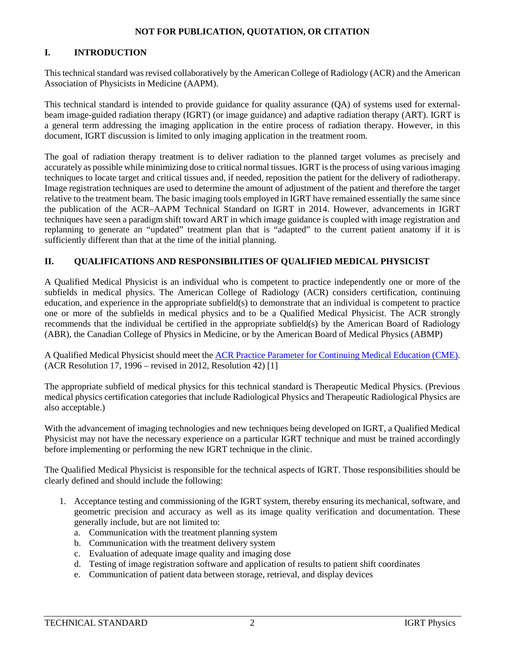# **I. INTRODUCTION**

This technical standard was revised collaboratively by the American College of Radiology (ACR) and the American Association of Physicists in Medicine (AAPM).

This technical standard is intended to provide guidance for quality assurance (QA) of systems used for externalbeam image-guided radiation therapy (IGRT) (or image guidance) and adaptive radiation therapy (ART). IGRT is a general term addressing the imaging application in the entire process of radiation therapy. However, in this document, IGRT discussion is limited to only imaging application in the treatment room.

The goal of radiation therapy treatment is to deliver radiation to the planned target volumes as precisely and accurately as possible while minimizing dose to critical normal tissues. IGRT is the process of using various imaging techniques to locate target and critical tissues and, if needed, reposition the patient for the delivery of radiotherapy. Image registration techniques are used to determine the amount of adjustment of the patient and therefore the target relative to the treatment beam. The basic imaging tools employed in IGRT have remained essentially the same since the publication of the ACR–AAPM Technical Standard on IGRT in 2014. However, advancements in IGRT techniques have seen a paradigm shift toward ART in which image guidance is coupled with image registration and replanning to generate an "updated" treatment plan that is "adapted" to the current patient anatomy if it is sufficiently different than that at the time of the initial planning.

# **II. QUALIFICATIONS AND RESPONSIBILITIES OF QUALIFIED MEDICAL PHYSICIST**

A Qualified Medical Physicist is an individual who is competent to practice independently one or more of the subfields in medical physics. The American College of Radiology (ACR) considers certification, continuing education, and experience in the appropriate subfield(s) to demonstrate that an individual is competent to practice one or more of the subfields in medical physics and to be a Qualified Medical Physicist. The ACR strongly recommends that the individual be certified in the appropriate subfield(s) by the American Board of Radiology (ABR), the Canadian College of Physics in Medicine, or by the American Board of Medical Physics (ABMP)

A Qualified Medical Physicist should meet the ACR Practice Parameter [for Continuing Medical Education \(CME\).](https://www.acr.org/-/media/ACR/Files/Practice-Parameters/CME.pdf) (ACR Resolution 17, 1996 – revised in 2012, Resolution 42) [\[1\]](#page-8-0)

The appropriate subfield of medical physics for this technical standard is Therapeutic Medical Physics. (Previous medical physics certification categories that include Radiological Physics and Therapeutic Radiological Physics are also acceptable.)

With the advancement of imaging technologies and new techniques being developed on IGRT, a Qualified Medical Physicist may not have the necessary experience on a particular IGRT technique and must be trained accordingly before implementing or performing the new IGRT technique in the clinic.

The Qualified Medical Physicist is responsible for the technical aspects of IGRT. Those responsibilities should be clearly defined and should include the following:

- 1. Acceptance testing and commissioning of the IGRT system, thereby ensuring its mechanical, software, and geometric precision and accuracy as well as its image quality verification and documentation. These generally include, but are not limited to:
	- a. Communication with the treatment planning system
	- b. Communication with the treatment delivery system
	- c. Evaluation of adequate image quality and imaging dose
	- d. Testing of image registration software and application of results to patient shift coordinates
	- e. Communication of patient data between storage, retrieval, and display devices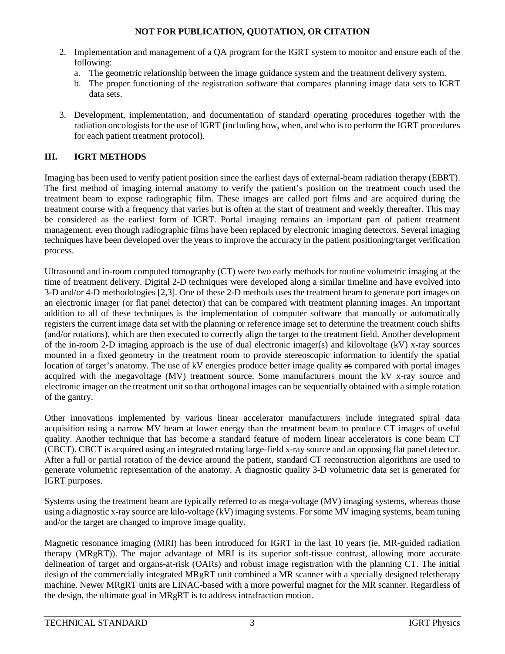- 2. Implementation and management of a QA program for the IGRT system to monitor and ensure each of the following:
	- a. The geometric relationship between the image guidance system and the treatment delivery system.
	- b. The proper functioning of the registration software that compares planning image data sets to IGRT data sets.
- 3. Development, implementation, and documentation of standard operating procedures together with the radiation oncologists for the use of IGRT (including how, when, and who is to perform the IGRT procedures for each patient treatment protocol).

# **III. IGRT METHODS**

Imaging has been used to verify patient position since the earliest days of external-beam radiation therapy (EBRT). The first method of imaging internal anatomy to verify the patient's position on the treatment couch used the treatment beam to expose radiographic film. These images are called port films and are acquired during the treatment course with a frequency that varies but is often at the start of treatment and weekly thereafter. This may be considered as the earliest form of IGRT. Portal imaging remains an important part of patient treatment management, even though radiographic films have been replaced by electronic imaging detectors. Several imaging techniques have been developed over the years to improve the accuracy in the patient positioning/target verification process.

Ultrasound and in-room computed tomography (CT) were two early methods for routine volumetric imaging at the time of treatment delivery. Digital 2-D techniques were developed along a similar timeline and have evolved into 3-D and/or 4-D methodologies [\[2,](#page-8-1)[3\]](#page-8-2). One of these 2-D methods uses the treatment beam to generate port images on an electronic imager (or flat panel detector) that can be compared with treatment planning images. An important addition to all of these techniques is the implementation of computer software that manually or automatically registers the current image data set with the planning or reference image set to determine the treatment couch shifts (and/or rotations), which are then executed to correctly align the target to the treatment field. Another development of the in-room 2-D imaging approach is the use of dual electronic imager(s) and kilovoltage (kV) x-ray sources mounted in a fixed geometry in the treatment room to provide stereoscopic information to identify the spatial location of target's anatomy. The use of kV energies produce better image quality as compared with portal images acquired with the megavoltage (MV) treatment source. Some manufacturers mount the kV x-ray source and electronic imager on the treatment unit so that orthogonal images can be sequentially obtained with a simple rotation of the gantry.

Other innovations implemented by various linear accelerator manufacturers include integrated spiral data acquisition using a narrow MV beam at lower energy than the treatment beam to produce CT images of useful quality. Another technique that has become a standard feature of modern linear accelerators is cone beam CT (CBCT). CBCT is acquired using an integrated rotating large-field x-ray source and an opposing flat panel detector. After a full or partial rotation of the device around the patient, standard CT reconstruction algorithms are used to generate volumetric representation of the anatomy. A diagnostic quality 3-D volumetric data set is generated for IGRT purposes.

Systems using the treatment beam are typically referred to as mega-voltage (MV) imaging systems, whereas those using a diagnostic x-ray source are kilo-voltage (kV) imaging systems. For some MV imaging systems, beam tuning and/or the target are changed to improve image quality.

Magnetic resonance imaging (MRI) has been introduced for IGRT in the last 10 years (ie, MR-guided radiation therapy (MRgRT)). The major advantage of MRI is its superior soft-tissue contrast, allowing more accurate delineation of target and organs-at-risk (OARs) and robust image registration with the planning CT. The initial design of the commercially integrated MRgRT unit combined a MR scanner with a specially designed teletherapy machine. Newer MRgRT units are LINAC-based with a more powerful magnet for the MR scanner. Regardless of the design, the ultimate goal in MRgRT is to address intrafraction motion.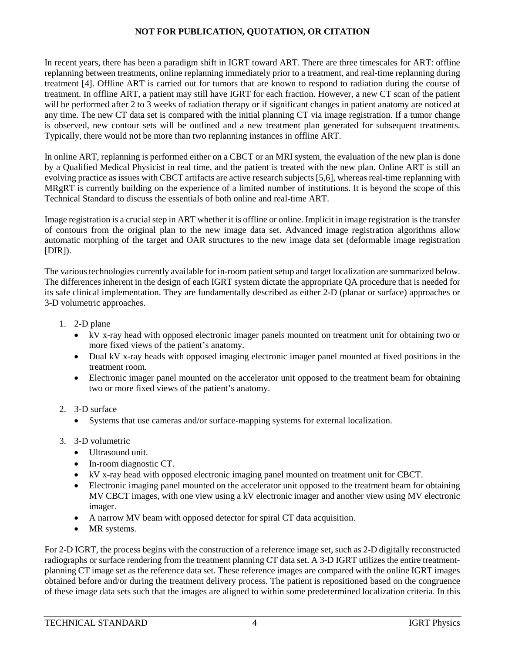In recent years, there has been a paradigm shift in IGRT toward ART. There are three timescales for ART: offline replanning between treatments, online replanning immediately prior to a treatment, and real-time replanning during treatment [\[4\]](#page-8-3). Offline ART is carried out for tumors that are known to respond to radiation during the course of treatment. In offline ART, a patient may still have IGRT for each fraction. However, a new CT scan of the patient will be performed after 2 to 3 weeks of radiation therapy or if significant changes in patient anatomy are noticed at any time. The new CT data set is compared with the initial planning CT via image registration. If a tumor change is observed, new contour sets will be outlined and a new treatment plan generated for subsequent treatments. Typically, there would not be more than two replanning instances in offline ART.

In online ART, replanning is performed either on a CBCT or an MRI system, the evaluation of the new plan is done by a Qualified Medical Physicist in real time, and the patient is treated with the new plan. Online ART is still an evolving practice as issues with CBCT artifacts are active research subjects [\[5](#page-8-4)[,6\]](#page-8-5), whereas real-time replanning with MRgRT is currently building on the experience of a limited number of institutions. It is beyond the scope of this Technical Standard to discuss the essentials of both online and real-time ART.

Image registration is a crucial step in ART whether it is offline or online. Implicit in image registration is the transfer of contours from the original plan to the new image data set. Advanced image registration algorithms allow automatic morphing of the target and OAR structures to the new image data set (deformable image registration  $[DIR]$ ).

The various technologies currently available for in-room patient setup and target localization are summarized below. The differences inherent in the design of each IGRT system dictate the appropriate QA procedure that is needed for its safe clinical implementation. They are fundamentally described as either 2-D (planar or surface) approaches or 3-D volumetric approaches.

- 1. 2-D plane
	- kV x-ray head with opposed electronic imager panels mounted on treatment unit for obtaining two or more fixed views of the patient's anatomy.
	- Dual kV x-ray heads with opposed imaging electronic imager panel mounted at fixed positions in the treatment room.
	- Electronic imager panel mounted on the accelerator unit opposed to the treatment beam for obtaining two or more fixed views of the patient's anatomy.
- 2. 3-D surface
	- Systems that use cameras and/or surface-mapping systems for external localization.
- 3. 3-D volumetric
	- Ultrasound unit
	- In-room diagnostic CT.
	- kV x-ray head with opposed electronic imaging panel mounted on treatment unit for CBCT.
	- Electronic imaging panel mounted on the accelerator unit opposed to the treatment beam for obtaining MV CBCT images, with one view using a kV electronic imager and another view using MV electronic imager.
	- A narrow MV beam with opposed detector for spiral CT data acquisition.
	- MR systems.

For 2-D IGRT, the process begins with the construction of a reference image set, such as 2-D digitally reconstructed radiographs or surface rendering from the treatment planning CT data set. A 3-D IGRT utilizes the entire treatmentplanning CT image set as the reference data set. These reference images are compared with the online IGRT images obtained before and/or during the treatment delivery process. The patient is repositioned based on the congruence of these image data sets such that the images are aligned to within some predetermined localization criteria. In this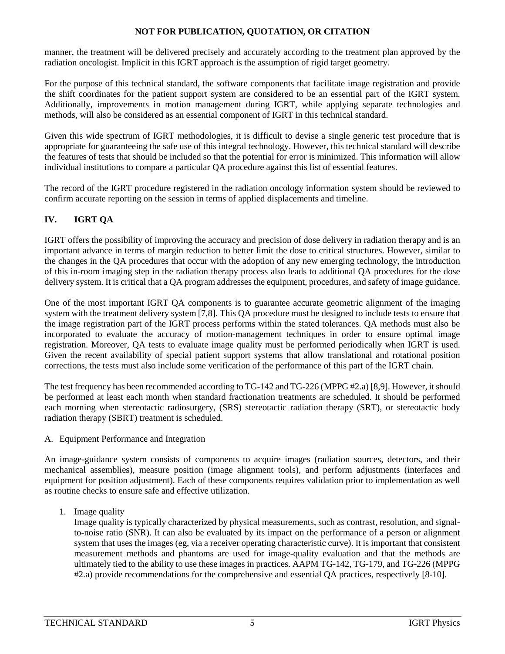manner, the treatment will be delivered precisely and accurately according to the treatment plan approved by the radiation oncologist. Implicit in this IGRT approach is the assumption of rigid target geometry.

For the purpose of this technical standard, the software components that facilitate image registration and provide the shift coordinates for the patient support system are considered to be an essential part of the IGRT system. Additionally, improvements in motion management during IGRT, while applying separate technologies and methods, will also be considered as an essential component of IGRT in this technical standard.

Given this wide spectrum of IGRT methodologies, it is difficult to devise a single generic test procedure that is appropriate for guaranteeing the safe use of this integral technology. However, this technical standard will describe the features of tests that should be included so that the potential for error is minimized. This information will allow individual institutions to compare a particular QA procedure against this list of essential features.

The record of the IGRT procedure registered in the radiation oncology information system should be reviewed to confirm accurate reporting on the session in terms of applied displacements and timeline.

# **IV. IGRT QA**

IGRT offers the possibility of improving the accuracy and precision of dose delivery in radiation therapy and is an important advance in terms of margin reduction to better limit the dose to critical structures. However, similar to the changes in the QA procedures that occur with the adoption of any new emerging technology, the introduction of this in-room imaging step in the radiation therapy process also leads to additional QA procedures for the dose delivery system. It is critical that a QA program addresses the equipment, procedures, and safety of image guidance.

One of the most important IGRT QA components is to guarantee accurate geometric alignment of the imaging system with the treatment delivery system [\[7,](#page-8-6)[8\]](#page-8-7). This QA procedure must be designed to include tests to ensure that the image registration part of the IGRT process performs within the stated tolerances. QA methods must also be incorporated to evaluate the accuracy of motion-management techniques in order to ensure optimal image registration. Moreover, QA tests to evaluate image quality must be performed periodically when IGRT is used. Given the recent availability of special patient support systems that allow translational and rotational position corrections, the tests must also include some verification of the performance of this part of the IGRT chain.

The test frequency has been recommended according to TG-142 and TG-226 (MPPG #2.a) [\[8,](#page-8-7)[9\]](#page-8-8). However, it should be performed at least each month when standard fractionation treatments are scheduled. It should be performed each morning when stereotactic radiosurgery, (SRS) stereotactic radiation therapy (SRT), or stereotactic body radiation therapy (SBRT) treatment is scheduled.

A. Equipment Performance and Integration

An image-guidance system consists of components to acquire images (radiation sources, detectors, and their mechanical assemblies), measure position (image alignment tools), and perform adjustments (interfaces and equipment for position adjustment). Each of these components requires validation prior to implementation as well as routine checks to ensure safe and effective utilization.

1. Image quality

Image quality is typically characterized by physical measurements, such as contrast, resolution, and signalto-noise ratio (SNR). It can also be evaluated by its impact on the performance of a person or alignment system that uses the images (eg, via a receiver operating characteristic curve). It is important that consistent measurement methods and phantoms are used for image-quality evaluation and that the methods are ultimately tied to the ability to use these images in practices. AAPM TG-142, TG-179, and TG-226 (MPPG #2.a) provide recommendations for the comprehensive and essential QA practices, respectively [\[8-10\]](#page-8-7).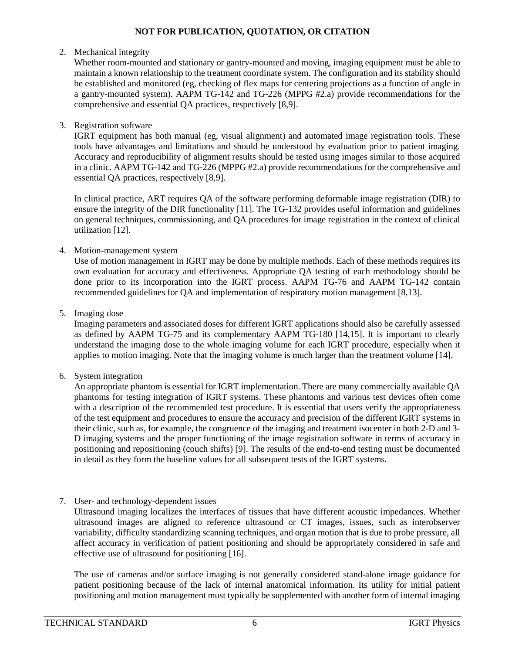#### 2. Mechanical integrity

Whether room-mounted and stationary or gantry-mounted and moving, imaging equipment must be able to maintain a known relationship to the treatment coordinate system. The configuration and its stability should be established and monitored (eg, checking of flex maps for centering projections as a function of angle in a gantry-mounted system). AAPM TG-142 and TG-226 (MPPG #2.a) provide recommendations for the comprehensive and essential QA practices, respectively [\[8](#page-8-7)[,9\]](#page-8-8).

#### 3. Registration software

IGRT equipment has both manual (eg, visual alignment) and automated image registration tools. These tools have advantages and limitations and should be understood by evaluation prior to patient imaging. Accuracy and reproducibility of alignment results should be tested using images similar to those acquired in a clinic. AAPM TG-142 and TG-226 (MPPG #2.a) provide recommendations for the comprehensive and essential QA practices, respectively [\[8](#page-8-7)[,9\]](#page-8-8).

In clinical practice, ART requires QA of the software performing deformable image registration (DIR) to ensure the integrity of the DIR functionality [\[11\]](#page-8-9). The TG-132 provides useful information and guidelines on general techniques, commissioning, and QA procedures for image registration in the context of clinical utilization [\[12\]](#page-8-10).

#### 4. Motion-management system

Use of motion management in IGRT may be done by multiple methods. Each of these methods requires its own evaluation for accuracy and effectiveness. Appropriate QA testing of each methodology should be done prior to its incorporation into the IGRT process. AAPM TG-76 and AAPM TG-142 contain recommended guidelines for QA and implementation of respiratory motion management [\[8](#page-8-7)[,13\]](#page-8-11).

# 5. Imaging dose

Imaging parameters and associated doses for different IGRT applications should also be carefully assessed as defined by AAPM TG-75 and its complementary AAPM TG-180 [\[14](#page-8-12)[,15\]](#page-9-0). It is important to clearly understand the imaging dose to the whole imaging volume for each IGRT procedure, especially when it applies to motion imaging. Note that the imaging volume is much larger than the treatment volume [\[14\]](#page-8-12).

6. System integration

An appropriate phantom is essential for IGRT implementation. There are many commercially available QA phantoms for testing integration of IGRT systems. These phantoms and various test devices often come with a description of the recommended test procedure. It is essential that users verify the appropriateness of the test equipment and procedures to ensure the accuracy and precision of the different IGRT systems in their clinic, such as, for example, the congruence of the imaging and treatment isocenter in both 2-D and 3- D imaging systems and the proper functioning of the image registration software in terms of accuracy in positioning and repositioning (couch shifts) [\[9\]](#page-8-8). The results of the end-to-end testing must be documented in detail as they form the baseline values for all subsequent tests of the IGRT systems.

7. User- and technology-dependent issues

Ultrasound imaging localizes the interfaces of tissues that have different acoustic impedances. Whether ultrasound images are aligned to reference ultrasound or CT images, issues, such as interobserver variability, difficulty standardizing scanning techniques, and organ motion that is due to probe pressure, all affect accuracy in verification of patient positioning and should be appropriately considered in safe and effective use of ultrasound for positioning [\[16\]](#page-9-1).

The use of cameras and/or surface imaging is not generally considered stand-alone image guidance for patient positioning because of the lack of internal anatomical information. Its utility for initial patient positioning and motion management must typically be supplemented with another form of internal imaging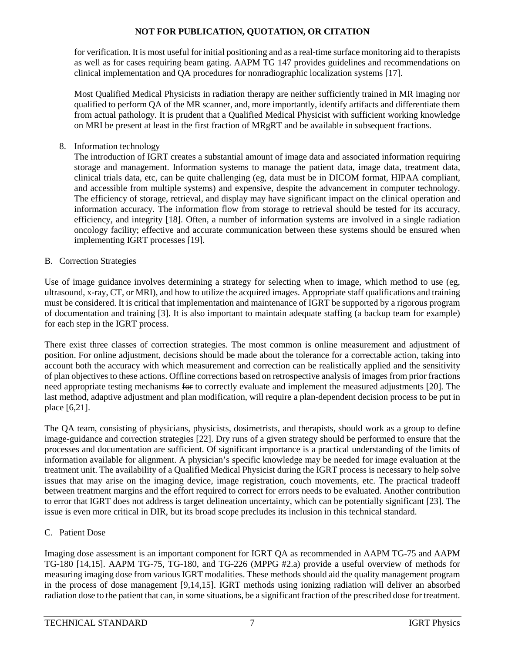for verification. It is most useful for initial positioning and as a real-time surface monitoring aid to therapists as well as for cases requiring beam gating. AAPM TG 147 provides guidelines and recommendations on clinical implementation and QA procedures for nonradiographic localization systems [\[17\]](#page-9-2).

Most Qualified Medical Physicists in radiation therapy are neither sufficiently trained in MR imaging nor qualified to perform QA of the MR scanner, and, more importantly, identify artifacts and differentiate them from actual pathology. It is prudent that a Qualified Medical Physicist with sufficient working knowledge on MRI be present at least in the first fraction of  $MRgRT$  and be available in subsequent fractions.

8. Information technology

The introduction of IGRT creates a substantial amount of image data and associated information requiring storage and management. Information systems to manage the patient data, image data, treatment data, clinical trials data, etc, can be quite challenging (eg, data must be in DICOM format, HIPAA compliant, and accessible from multiple systems) and expensive, despite the advancement in computer technology. The efficiency of storage, retrieval, and display may have significant impact on the clinical operation and information accuracy. The information flow from storage to retrieval should be tested for its accuracy, efficiency, and integrity [\[18\]](#page-9-3). Often, a number of information systems are involved in a single radiation oncology facility; effective and accurate communication between these systems should be ensured when implementing IGRT processes [\[19\]](#page-9-4).

# B. Correction Strategies

Use of image guidance involves determining a strategy for selecting when to image, which method to use (eg, ultrasound, x-ray, CT, or MRI), and how to utilize the acquired images. Appropriate staff qualifications and training must be considered. It is critical that implementation and maintenance of IGRT be supported by a rigorous program of documentation and training [\[3\]](#page-8-2). It is also important to maintain adequate staffing (a backup team for example) for each step in the IGRT process.

There exist three classes of correction strategies. The most common is online measurement and adjustment of position. For online adjustment, decisions should be made about the tolerance for a correctable action, taking into account both the accuracy with which measurement and correction can be realistically applied and the sensitivity of plan objectives to these actions. Offline corrections based on retrospective analysis of images from prior fractions need appropriate testing mechanisms for to correctly evaluate and implement the measured adjustments [\[20\]](#page-9-5). The last method, adaptive adjustment and plan modification, will require a plan-dependent decision process to be put in place [\[6](#page-8-5)[,21\]](#page-9-6).

The QA team, consisting of physicians, physicists, dosimetrists, and therapists, should work as a group to define image-guidance and correction strategies [\[22\]](#page-9-7). Dry runs of a given strategy should be performed to ensure that the processes and documentation are sufficient. Of significant importance is a practical understanding of the limits of information available for alignment. A physician's specific knowledge may be needed for image evaluation at the treatment unit. The availability of a Qualified Medical Physicist during the IGRT process is necessary to help solve issues that may arise on the imaging device, image registration, couch movements, etc. The practical tradeoff between treatment margins and the effort required to correct for errors needs to be evaluated. Another contribution to error that IGRT does not address is target delineation uncertainty, which can be potentially significant [\[23\]](#page-9-8). The issue is even more critical in DIR, but its broad scope precludes its inclusion in this technical standard.

# C. Patient Dose

Imaging dose assessment is an important component for IGRT QA as recommended in AAPM TG-75 and AAPM TG-180 [\[14,](#page-8-12)[15\]](#page-9-0). AAPM TG-75, TG-180, and TG-226 (MPPG #2.a) provide a useful overview of methods for measuring imaging dose from various IGRT modalities. These methods should aid the quality management program in the process of dose management [\[9](#page-8-8)[,14](#page-8-12)[,15\]](#page-9-0). IGRT methods using ionizing radiation will deliver an absorbed radiation dose to the patient that can, in some situations, be a significant fraction of the prescribed dose for treatment.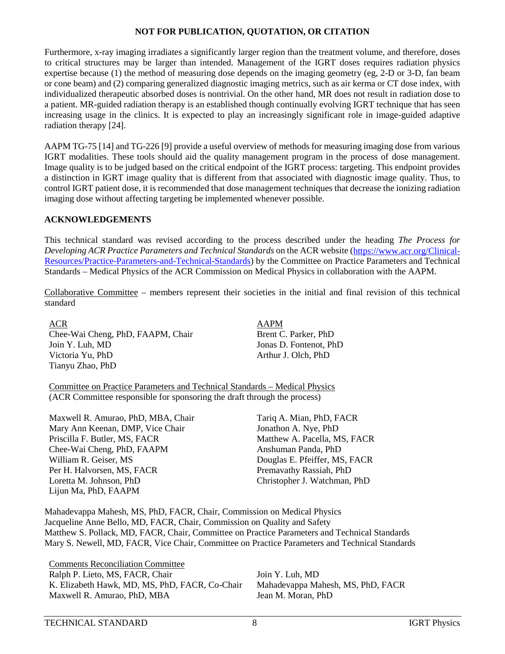Furthermore, x-ray imaging irradiates a significantly larger region than the treatment volume, and therefore, doses to critical structures may be larger than intended. Management of the IGRT doses requires radiation physics expertise because (1) the method of measuring dose depends on the imaging geometry (eg, 2-D or 3-D, fan beam or cone beam) and (2) comparing generalized diagnostic imaging metrics, such as air kerma or CT dose index, with individualized therapeutic absorbed doses is nontrivial. On the other hand, MR does not result in radiation dose to a patient. MR-guided radiation therapy is an established though continually evolving IGRT technique that has seen increasing usage in the clinics. It is expected to play an increasingly significant role in image-guided adaptive radiation therapy [\[24\]](#page-9-9).

AAPM TG-75 [\[14\]](#page-8-12) and TG-226 [\[9\]](#page-8-8) provide a useful overview of methods for measuring imaging dose from various IGRT modalities. These tools should aid the quality management program in the process of dose management. Image quality is to be judged based on the critical endpoint of the IGRT process: targeting. This endpoint provides a distinction in IGRT image quality that is different from that associated with diagnostic image quality. Thus, to control IGRT patient dose, it is recommended that dose management techniques that decrease the ionizing radiation imaging dose without affecting targeting be implemented whenever possible.

#### **ACKNOWLEDGEMENTS**

This technical standard was revised according to the process described under the heading *The Process for Developing ACR Practice Parameters and Technical Standards* on the ACR website [\(https://www.acr.org/Clinical-](https://www.acr.org/Clinical-Resources/Practice-Parameters-and-Technical-Standards)[Resources/Practice-Parameters-and-Technical-Standards\)](https://www.acr.org/Clinical-Resources/Practice-Parameters-and-Technical-Standards) by the Committee on Practice Parameters and Technical Standards – Medical Physics of the ACR Commission on Medical Physics in collaboration with the AAPM.

Collaborative Committee – members represent their societies in the initial and final revision of this technical standard

ACR AAPM Chee-Wai Cheng, PhD, FAAPM, Chair Brent C. Parker, PhD Join Y. Luh, MD Jonas D. Fontenot, PhD Victoria Yu, PhD Arthur J. Olch, PhD Tianyu Zhao, PhD

Committee on Practice Parameters and Technical Standards – Medical Physics (ACR Committee responsible for sponsoring the draft through the process)

Maxwell R. Amurao, PhD, MBA, Chair Tariq A. Mian, PhD, FACR Mary Ann Keenan, DMP, Vice Chair Jonathon A. Nye, PhD Priscilla F. Butler, MS, FACR Matthew A. Pacella, MS, FACR Chee-Wai Cheng, PhD, FAAPM Anshuman Panda, PhD William R. Geiser, MS **Douglas E. Pfeiffer, MS, FACR** Per H. Halvorsen, MS, FACR Premavathy Rassiah, PhD Loretta M. Johnson, PhD Christopher J. Watchman, PhD Lijun Ma, PhD, FAAPM

Mahadevappa Mahesh, MS, PhD, FACR, Chair, Commission on Medical Physics Jacqueline Anne Bello, MD, FACR, Chair, Commission on Quality and Safety Matthew S. Pollack, MD, FACR, Chair, Committee on Practice Parameters and Technical Standards Mary S. Newell, MD, FACR, Vice Chair, Committee on Practice Parameters and Technical Standards

Comments Reconciliation Committee Ralph P. Lieto, MS, FACR, Chair Join Y. Luh, MD K. Elizabeth Hawk, MD, MS, PhD, FACR, Co-Chair Mahadevappa Mahesh, MS, PhD, FACR Maxwell R. Amurao, PhD, MBA Jean M. Moran, PhD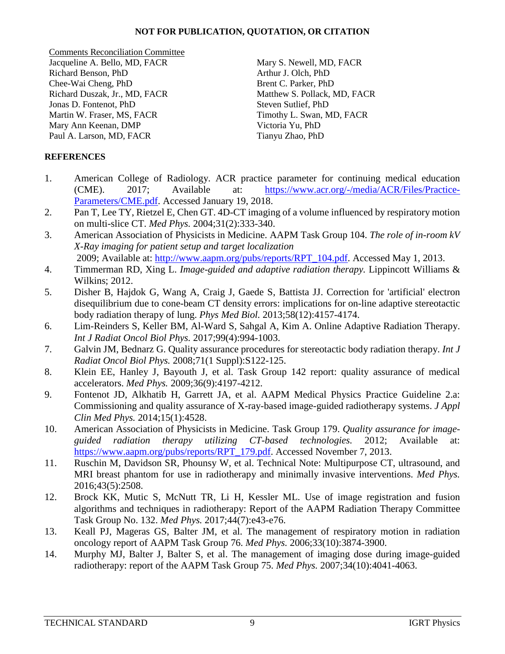Comments Reconciliation Committee Jacqueline A. Bello, MD, FACR Mary S. Newell, MD, FACR Richard Benson, PhD Arthur J. Olch, PhD Chee-Wai Cheng, PhD Brent C. Parker, PhD Richard Duszak, Jr., MD, FACR Matthew S. Pollack, MD, FACR Jonas D. Fontenot, PhD Steven Sutlief, PhD Martin W. Fraser, MS, FACR Timothy L. Swan, MD, FACR Mary Ann Keenan, DMP Victoria Yu, PhD Paul A. Larson, MD, FACR Tianyu Zhao, PhD

# **REFERENCES**

- <span id="page-8-0"></span>1. American College of Radiology. ACR practice parameter for continuing medical education (CME). 2017; Available at: [https://www.acr.org/-/media/ACR/Files/Practice-](https://www.acr.org/-/media/ACR/Files/Practice-Parameters/CME.pdf)[Parameters/CME.pdf.](https://www.acr.org/-/media/ACR/Files/Practice-Parameters/CME.pdf) Accessed January 19, 2018.
- <span id="page-8-1"></span>2. Pan T, Lee TY, Rietzel E, Chen GT. 4D-CT imaging of a volume influenced by respiratory motion on multi-slice CT. *Med Phys.* 2004;31(2):333-340.
- <span id="page-8-2"></span>3. American Association of Physicists in Medicine. AAPM Task Group 104. *The role of in-room kV X-Ray imaging for patient setup and target localization* 2009; Available at: [http://www.aapm.org/pubs/reports/RPT\\_104.pdf.](http://www.aapm.org/pubs/reports/RPT_104.pdf) Accessed May 1, 2013.
- <span id="page-8-3"></span>4. Timmerman RD, Xing L. *Image-guided and adaptive radiation therapy.* Lippincott Williams & Wilkins; 2012.
- <span id="page-8-4"></span>5. Disher B, Hajdok G, Wang A, Craig J, Gaede S, Battista JJ. Correction for 'artificial' electron disequilibrium due to cone-beam CT density errors: implications for on-line adaptive stereotactic body radiation therapy of lung. *Phys Med Biol.* 2013;58(12):4157-4174.
- <span id="page-8-5"></span>6. Lim-Reinders S, Keller BM, Al-Ward S, Sahgal A, Kim A. Online Adaptive Radiation Therapy. *Int J Radiat Oncol Biol Phys.* 2017;99(4):994-1003.
- <span id="page-8-6"></span>7. Galvin JM, Bednarz G. Quality assurance procedures for stereotactic body radiation therapy. *Int J Radiat Oncol Biol Phys.* 2008;71(1 Suppl):S122-125.
- <span id="page-8-7"></span>8. Klein EE, Hanley J, Bayouth J, et al. Task Group 142 report: quality assurance of medical accelerators. *Med Phys.* 2009;36(9):4197-4212.
- <span id="page-8-8"></span>9. Fontenot JD, Alkhatib H, Garrett JA, et al. AAPM Medical Physics Practice Guideline 2.a: Commissioning and quality assurance of X-ray-based image-guided radiotherapy systems. *J Appl Clin Med Phys.* 2014;15(1):4528.
- 10. American Association of Physicists in Medicine. Task Group 179. *Quality assurance for imageguided radiation therapy utilizing CT-based technologies.* 2012; Available at: [https://www.aapm.org/pubs/reports/RPT\\_179.pdf.](https://www.aapm.org/pubs/reports/RPT_179.pdf) Accessed November 7, 2013.
- <span id="page-8-9"></span>11. Ruschin M, Davidson SR, Phounsy W, et al. Technical Note: Multipurpose CT, ultrasound, and MRI breast phantom for use in radiotherapy and minimally invasive interventions. *Med Phys.*  2016;43(5):2508.
- <span id="page-8-10"></span>12. Brock KK, Mutic S, McNutt TR, Li H, Kessler ML. Use of image registration and fusion algorithms and techniques in radiotherapy: Report of the AAPM Radiation Therapy Committee Task Group No. 132. *Med Phys.* 2017;44(7):e43-e76.
- <span id="page-8-11"></span>13. Keall PJ, Mageras GS, Balter JM, et al. The management of respiratory motion in radiation oncology report of AAPM Task Group 76. *Med Phys.* 2006;33(10):3874-3900.
- <span id="page-8-12"></span>14. Murphy MJ, Balter J, Balter S, et al. The management of imaging dose during image-guided radiotherapy: report of the AAPM Task Group 75. *Med Phys.* 2007;34(10):4041-4063.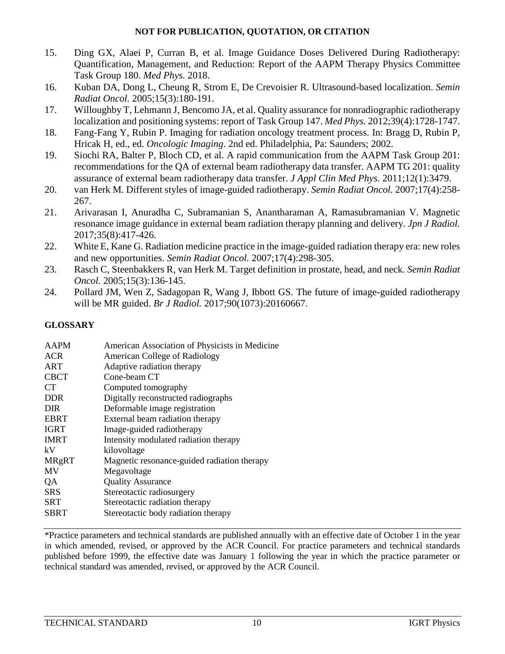- <span id="page-9-0"></span>15. Ding GX, Alaei P, Curran B, et al. Image Guidance Doses Delivered During Radiotherapy: Quantification, Management, and Reduction: Report of the AAPM Therapy Physics Committee Task Group 180. *Med Phys.* 2018.
- <span id="page-9-1"></span>16. Kuban DA, Dong L, Cheung R, Strom E, De Crevoisier R. Ultrasound-based localization. *Semin Radiat Oncol.* 2005;15(3):180-191.
- <span id="page-9-2"></span>17. Willoughby T, Lehmann J, Bencomo JA, et al. Quality assurance for nonradiographic radiotherapy localization and positioning systems: report of Task Group 147. *Med Phys.* 2012;39(4):1728-1747.
- <span id="page-9-3"></span>18. Fang-Fang Y, Rubin P. Imaging for radiation oncology treatment process. In: Bragg D, Rubin P, Hricak H, ed., ed. *Oncologic Imaging*. 2nd ed. Philadelphia, Pa: Saunders; 2002.
- <span id="page-9-4"></span>19. Siochi RA, Balter P, Bloch CD, et al. A rapid communication from the AAPM Task Group 201: recommendations for the QA of external beam radiotherapy data transfer. AAPM TG 201: quality assurance of external beam radiotherapy data transfer. *J Appl Clin Med Phys.* 2011;12(1):3479.
- <span id="page-9-5"></span>20. van Herk M. Different styles of image-guided radiotherapy. *Semin Radiat Oncol.* 2007;17(4):258- 267.
- <span id="page-9-6"></span>21. Arivarasan I, Anuradha C, Subramanian S, Anantharaman A, Ramasubramanian V. Magnetic resonance image guidance in external beam radiation therapy planning and delivery. *Jpn J Radiol.*  2017;35(8):417-426.
- <span id="page-9-7"></span>22. White E, Kane G. Radiation medicine practice in the image-guided radiation therapy era: new roles and new opportunities. *Semin Radiat Oncol.* 2007;17(4):298-305.
- <span id="page-9-8"></span>23. Rasch C, Steenbakkers R, van Herk M. Target definition in prostate, head, and neck. *Semin Radiat Oncol.* 2005;15(3):136-145.
- <span id="page-9-9"></span>24. Pollard JM, Wen Z, Sadagopan R, Wang J, Ibbott GS. The future of image-guided radiotherapy will be MR guided. *Br J Radiol.* 2017;90(1073):20160667.

# **GLOSSARY**

| <b>AAPM</b>  | American Association of Physicists in Medicine |
|--------------|------------------------------------------------|
| <b>ACR</b>   | American College of Radiology                  |
| <b>ART</b>   | Adaptive radiation therapy                     |
| <b>CBCT</b>  | Cone-beam CT                                   |
| <b>CT</b>    | Computed tomography                            |
| <b>DDR</b>   | Digitally reconstructed radiographs            |
| <b>DIR</b>   | Deformable image registration                  |
| <b>EBRT</b>  | External beam radiation therapy                |
| <b>IGRT</b>  | Image-guided radiotherapy                      |
| <b>IMRT</b>  | Intensity modulated radiation therapy          |
| kV           | kilovoltage                                    |
| <b>MRgRT</b> | Magnetic resonance-guided radiation therapy    |
| <b>MV</b>    | Megavoltage                                    |
| QA           | <b>Quality Assurance</b>                       |
| <b>SRS</b>   | Stereotactic radiosurgery                      |
| SRT          | Stereotactic radiation therapy                 |
| <b>SBRT</b>  | Stereotactic body radiation therapy            |
|              |                                                |

\*Practice parameters and technical standards are published annually with an effective date of October 1 in the year in which amended, revised, or approved by the ACR Council. For practice parameters and technical standards published before 1999, the effective date was January 1 following the year in which the practice parameter or technical standard was amended, revised, or approved by the ACR Council.